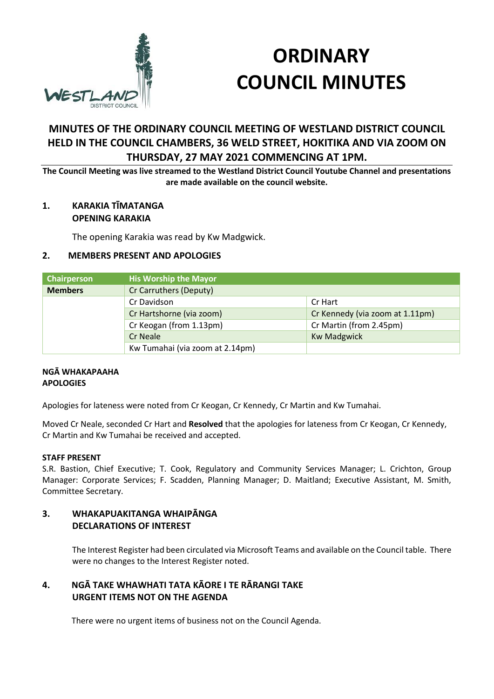

# **ORDINARY COUNCIL MINUTES**

# **MINUTES OF THE ORDINARY COUNCIL MEETING OF WESTLAND DISTRICT COUNCIL HELD IN THE COUNCIL CHAMBERS, 36 WELD STREET, HOKITIKA AND VIA ZOOM ON THURSDAY, 27 MAY 2021 COMMENCING AT 1PM.**

**The Council Meeting was live streamed to the Westland District Council Youtube Channel and presentations are made available on the council website.**

#### **1. KARAKIA TĪMATANGA OPENING KARAKIA**

The opening Karakia was read by Kw Madgwick.

#### **2. MEMBERS PRESENT AND APOLOGIES**

| Chairperson    | <b>His Worship the Mayor</b>    |                                 |
|----------------|---------------------------------|---------------------------------|
| <b>Members</b> | Cr Carruthers (Deputy)          |                                 |
|                | Cr Davidson                     | Cr Hart                         |
|                | Cr Hartshorne (via zoom)        | Cr Kennedy (via zoom at 1.11pm) |
|                | Cr Keogan (from 1.13pm)         | Cr Martin (from 2.45pm)         |
|                | <b>Cr Neale</b>                 | <b>Kw Madgwick</b>              |
|                | Kw Tumahai (via zoom at 2.14pm) |                                 |

#### **NGĀ WHAKAPAAHA APOLOGIES**

Apologies for lateness were noted from Cr Keogan, Cr Kennedy, Cr Martin and Kw Tumahai.

Moved Cr Neale, seconded Cr Hart and **Resolved** that the apologies for lateness from Cr Keogan, Cr Kennedy, Cr Martin and Kw Tumahai be received and accepted.

#### **STAFF PRESENT**

S.R. Bastion, Chief Executive; T. Cook, Regulatory and Community Services Manager; L. Crichton, Group Manager: Corporate Services; F. Scadden, Planning Manager; D. Maitland; Executive Assistant, M. Smith, Committee Secretary.

#### **3. WHAKAPUAKITANGA WHAIPĀNGA DECLARATIONS OF INTEREST**

The Interest Register had been circulated via Microsoft Teams and available on the Council table. There were no changes to the Interest Register noted.

### **4. NGĀ TAKE WHAWHATI TATA KĀORE I TE RĀRANGI TAKE URGENT ITEMS NOT ON THE AGENDA**

There were no urgent items of business not on the Council Agenda.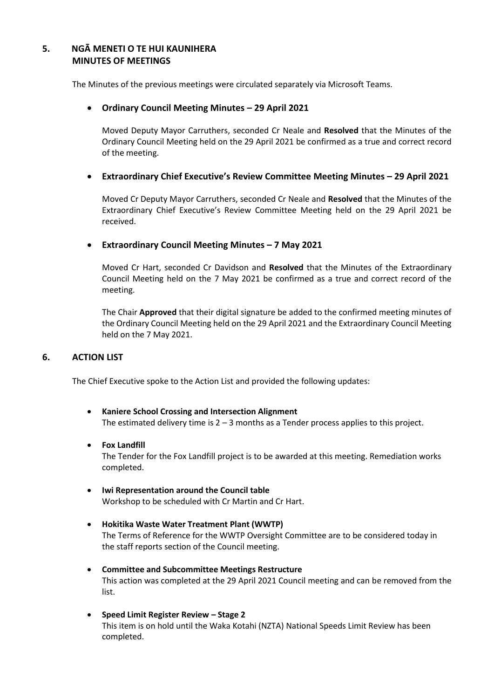#### **5. NGĀ MENETI O TE HUI KAUNIHERA MINUTES OF MEETINGS**

The Minutes of the previous meetings were circulated separately via Microsoft Teams.

#### **Ordinary Council Meeting Minutes – 29 April 2021**

Moved Deputy Mayor Carruthers, seconded Cr Neale and **Resolved** that the Minutes of the Ordinary Council Meeting held on the 29 April 2021 be confirmed as a true and correct record of the meeting.

#### **Extraordinary Chief Executive's Review Committee Meeting Minutes – 29 April 2021**

Moved Cr Deputy Mayor Carruthers, seconded Cr Neale and **Resolved** that the Minutes of the Extraordinary Chief Executive's Review Committee Meeting held on the 29 April 2021 be received.

#### **Extraordinary Council Meeting Minutes – 7 May 2021**

Moved Cr Hart, seconded Cr Davidson and **Resolved** that the Minutes of the Extraordinary Council Meeting held on the 7 May 2021 be confirmed as a true and correct record of the meeting.

The Chair **Approved** that their digital signature be added to the confirmed meeting minutes of the Ordinary Council Meeting held on the 29 April 2021 and the Extraordinary Council Meeting held on the 7 May 2021.

#### **6. ACTION LIST**

The Chief Executive spoke to the Action List and provided the following updates:

 **Kaniere School Crossing and Intersection Alignment** The estimated delivery time is  $2 - 3$  months as a Tender process applies to this project.

#### **Fox Landfill**

The Tender for the Fox Landfill project is to be awarded at this meeting. Remediation works completed.

- **Iwi Representation around the Council table** Workshop to be scheduled with Cr Martin and Cr Hart.
- **Hokitika Waste Water Treatment Plant (WWTP)** The Terms of Reference for the WWTP Oversight Committee are to be considered today in the staff reports section of the Council meeting.
- **Committee and Subcommittee Meetings Restructure** This action was completed at the 29 April 2021 Council meeting and can be removed from the list.
- **Speed Limit Register Review – Stage 2** This item is on hold until the Waka Kotahi (NZTA) National Speeds Limit Review has been completed.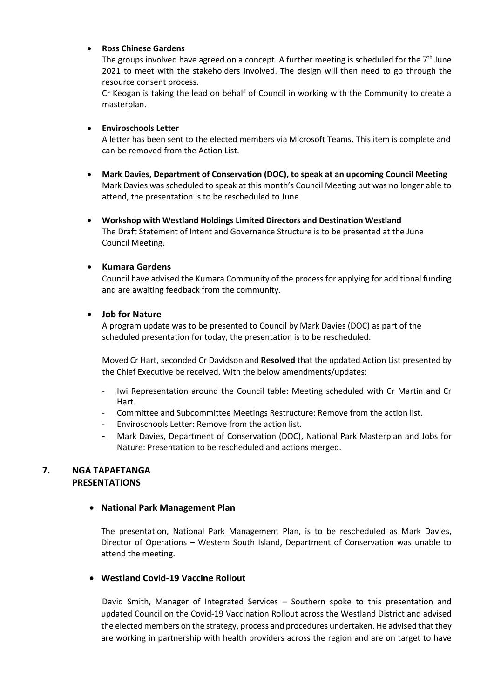#### **Ross Chinese Gardens**

The groups involved have agreed on a concept. A further meeting is scheduled for the  $7<sup>th</sup>$  June 2021 to meet with the stakeholders involved. The design will then need to go through the resource consent process.

Cr Keogan is taking the lead on behalf of Council in working with the Community to create a masterplan.

#### **Enviroschools Letter**

A letter has been sent to the elected members via Microsoft Teams. This item is complete and can be removed from the Action List.

- **Mark Davies, Department of Conservation (DOC), to speak at an upcoming Council Meeting** Mark Davies was scheduled to speak at this month's Council Meeting but was no longer able to attend, the presentation is to be rescheduled to June.
- **Workshop with Westland Holdings Limited Directors and Destination Westland** The Draft Statement of Intent and Governance Structure is to be presented at the June Council Meeting.

#### **Kumara Gardens**

Council have advised the Kumara Community of the process for applying for additional funding and are awaiting feedback from the community.

#### **Job for Nature**

A program update was to be presented to Council by Mark Davies (DOC) as part of the scheduled presentation for today, the presentation is to be rescheduled.

Moved Cr Hart, seconded Cr Davidson and **Resolved** that the updated Action List presented by the Chief Executive be received. With the below amendments/updates:

- Iwi Representation around the Council table: Meeting scheduled with Cr Martin and Cr Hart.
- Committee and Subcommittee Meetings Restructure: Remove from the action list.
- Enviroschools Letter: Remove from the action list.
- Mark Davies, Department of Conservation (DOC), National Park Masterplan and Jobs for Nature: Presentation to be rescheduled and actions merged.

#### **7. NGĀ TĀPAETANGA PRESENTATIONS**

#### **National Park Management Plan**

The presentation, National Park Management Plan, is to be rescheduled as Mark Davies, Director of Operations – Western South Island, Department of Conservation was unable to attend the meeting.

#### **Westland Covid-19 Vaccine Rollout**

David Smith, Manager of Integrated Services – Southern spoke to this presentation and updated Council on the Covid-19 Vaccination Rollout across the Westland District and advised the elected members on the strategy, process and procedures undertaken. He advised that they are working in partnership with health providers across the region and are on target to have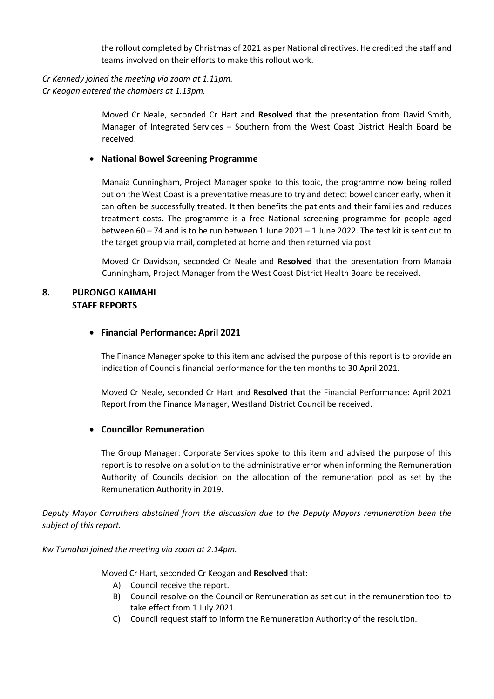the rollout completed by Christmas of 2021 as per National directives. He credited the staff and teams involved on their efforts to make this rollout work.

# *Cr Kennedy joined the meeting via zoom at 1.11pm.*

*Cr Keogan entered the chambers at 1.13pm.*

Moved Cr Neale, seconded Cr Hart and **Resolved** that the presentation from David Smith, Manager of Integrated Services – Southern from the West Coast District Health Board be received.

#### **National Bowel Screening Programme**

Manaia Cunningham, Project Manager spoke to this topic, the programme now being rolled out on the West Coast is a preventative measure to try and detect bowel cancer early, when it can often be successfully treated. It then benefits the patients and their families and reduces treatment costs. The programme is a free National screening programme for people aged between 60 – 74 and is to be run between 1 June 2021 – 1 June 2022. The test kit is sent out to the target group via mail, completed at home and then returned via post.

Moved Cr Davidson, seconded Cr Neale and **Resolved** that the presentation from Manaia Cunningham, Project Manager from the West Coast District Health Board be received.

#### **8. PŪRONGO KAIMAHI STAFF REPORTS**

#### **Financial Performance: April 2021**

The Finance Manager spoke to this item and advised the purpose of this report is to provide an indication of Councils financial performance for the ten months to 30 April 2021.

Moved Cr Neale, seconded Cr Hart and **Resolved** that the Financial Performance: April 2021 Report from the Finance Manager, Westland District Council be received.

#### **Councillor Remuneration**

The Group Manager: Corporate Services spoke to this item and advised the purpose of this report is to resolve on a solution to the administrative error when informing the Remuneration Authority of Councils decision on the allocation of the remuneration pool as set by the Remuneration Authority in 2019.

*Deputy Mayor Carruthers abstained from the discussion due to the Deputy Mayors remuneration been the subject of this report.*

*Kw Tumahai joined the meeting via zoom at 2.14pm.*

Moved Cr Hart, seconded Cr Keogan and **Resolved** that:

- A) Council receive the report.
- B) Council resolve on the Councillor Remuneration as set out in the remuneration tool to take effect from 1 July 2021.
- C) Council request staff to inform the Remuneration Authority of the resolution.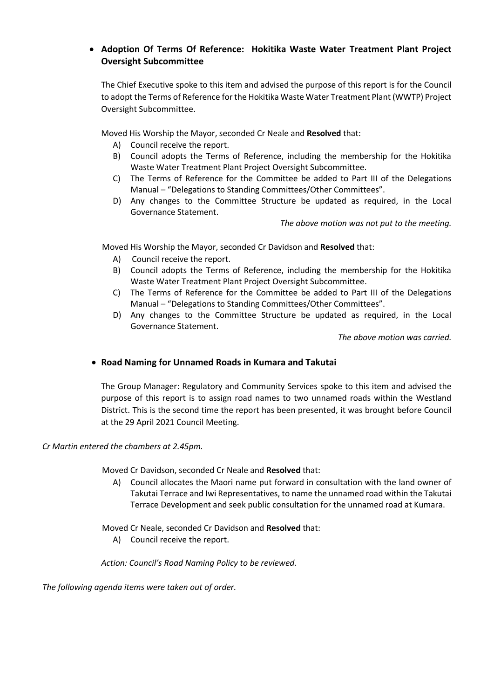## **Adoption Of Terms Of Reference: Hokitika Waste Water Treatment Plant Project Oversight Subcommittee**

The Chief Executive spoke to this item and advised the purpose of this report is for the Council to adopt the Terms of Reference for the Hokitika Waste Water Treatment Plant (WWTP) Project Oversight Subcommittee.

Moved His Worship the Mayor, seconded Cr Neale and **Resolved** that:

- A) Council receive the report.
- B) Council adopts the Terms of Reference, including the membership for the Hokitika Waste Water Treatment Plant Project Oversight Subcommittee.
- C) The Terms of Reference for the Committee be added to Part III of the Delegations Manual – "Delegations to Standing Committees/Other Committees".
- D) Any changes to the Committee Structure be updated as required, in the Local Governance Statement.

*The above motion was not put to the meeting.*

Moved His Worship the Mayor, seconded Cr Davidson and **Resolved** that:

- A) Council receive the report.
- B) Council adopts the Terms of Reference, including the membership for the Hokitika Waste Water Treatment Plant Project Oversight Subcommittee.
- C) The Terms of Reference for the Committee be added to Part III of the Delegations Manual – "Delegations to Standing Committees/Other Committees".
- D) Any changes to the Committee Structure be updated as required, in the Local Governance Statement.

*The above motion was carried.*

#### **Road Naming for Unnamed Roads in Kumara and Takutai**

The Group Manager: Regulatory and Community Services spoke to this item and advised the purpose of this report is to assign road names to two unnamed roads within the Westland District. This is the second time the report has been presented, it was brought before Council at the 29 April 2021 Council Meeting.

#### *Cr Martin entered the chambers at 2.45pm.*

Moved Cr Davidson, seconded Cr Neale and **Resolved** that:

A) Council allocates the Maori name put forward in consultation with the land owner of Takutai Terrace and Iwi Representatives, to name the unnamed road within the Takutai Terrace Development and seek public consultation for the unnamed road at Kumara.

Moved Cr Neale, seconded Cr Davidson and **Resolved** that:

A) Council receive the report.

#### *Action: Council's Road Naming Policy to be reviewed.*

*The following agenda items were taken out of order.*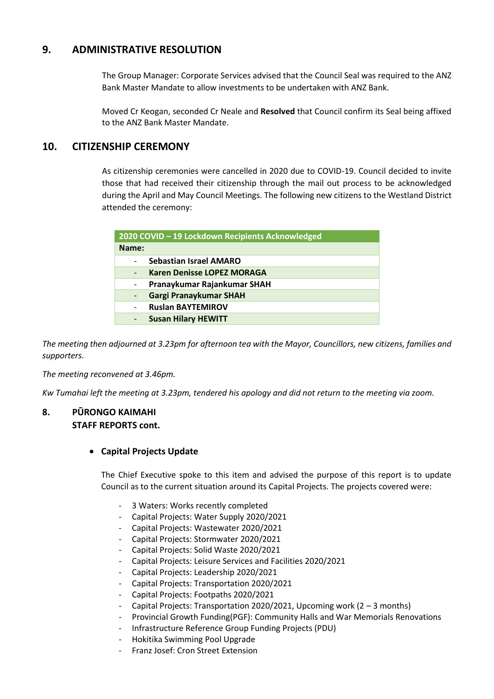## **9. ADMINISTRATIVE RESOLUTION**

The Group Manager: Corporate Services advised that the Council Seal was required to the ANZ Bank Master Mandate to allow investments to be undertaken with ANZ Bank.

Moved Cr Keogan, seconded Cr Neale and **Resolved** that Council confirm its Seal being affixed to the ANZ Bank Master Mandate.

#### **10. CITIZENSHIP CEREMONY**

As citizenship ceremonies were cancelled in 2020 due to COVID-19. Council decided to invite those that had received their citizenship through the mail out process to be acknowledged during the April and May Council Meetings. The following new citizens to the Westland District attended the ceremony:

| 2020 COVID - 19 Lockdown Recipients Acknowledged |                                   |
|--------------------------------------------------|-----------------------------------|
| Name:                                            |                                   |
|                                                  | <b>Sebastian Israel AMARO</b>     |
|                                                  | <b>Karen Denisse LOPEZ MORAGA</b> |
|                                                  | Pranaykumar Rajankumar SHAH       |
|                                                  | Gargi Pranaykumar SHAH            |
|                                                  | <b>Ruslan BAYTEMIROV</b>          |
|                                                  | <b>Susan Hilary HEWITT</b>        |

*The meeting then adjourned at 3.23pm for afternoon tea with the Mayor, Councillors, new citizens, families and supporters.*

*The meeting reconvened at 3.46pm.*

*Kw Tumahai left the meeting at 3.23pm, tendered his apology and did not return to the meeting via zoom.*

#### **8. PŪRONGO KAIMAHI STAFF REPORTS cont.**

#### **Capital Projects Update**

The Chief Executive spoke to this item and advised the purpose of this report is to update Council as to the current situation around its Capital Projects. The projects covered were:

- 3 Waters: Works recently completed
- Capital Projects: Water Supply 2020/2021
- Capital Projects: Wastewater 2020/2021
- Capital Projects: Stormwater 2020/2021
- Capital Projects: Solid Waste 2020/2021
- Capital Projects: Leisure Services and Facilities 2020/2021
- Capital Projects: Leadership 2020/2021
- Capital Projects: Transportation 2020/2021
- Capital Projects: Footpaths 2020/2021
- Capital Projects: Transportation 2020/2021, Upcoming work  $(2 3$  months)
- Provincial Growth Funding(PGF): Community Halls and War Memorials Renovations
- Infrastructure Reference Group Funding Projects (PDU)
- Hokitika Swimming Pool Upgrade
- Franz Josef: Cron Street Extension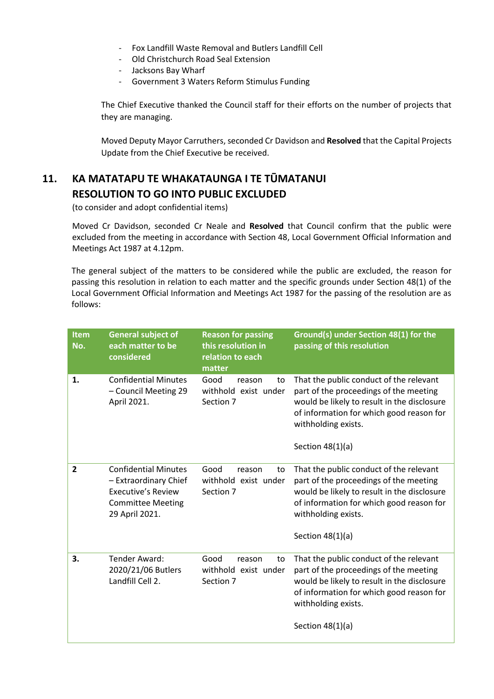- Fox Landfill Waste Removal and Butlers Landfill Cell
- Old Christchurch Road Seal Extension
- Jacksons Bay Wharf
- Government 3 Waters Reform Stimulus Funding

The Chief Executive thanked the Council staff for their efforts on the number of projects that they are managing.

Moved Deputy Mayor Carruthers, seconded Cr Davidson and **Resolved** that the Capital Projects Update from the Chief Executive be received.

# **11. KA MATATAPU TE WHAKATAUNGA I TE TŪMATANUI RESOLUTION TO GO INTO PUBLIC EXCLUDED**

(to consider and adopt confidential items)

 Moved Cr Davidson, seconded Cr Neale and **Resolved** that Council confirm that the public were excluded from the meeting in accordance with Section 48, Local Government Official Information and Meetings Act 1987 at 4.12pm.

The general subject of the matters to be considered while the public are excluded, the reason for passing this resolution in relation to each matter and the specific grounds under Section 48(1) of the Local Government Official Information and Meetings Act 1987 for the passing of the resolution are as follows:

| <b>Item</b><br>No. | <b>General subject of</b><br>each matter to be<br>considered                                                                    | <b>Reason for passing</b><br>this resolution in<br>relation to each<br>matter | Ground(s) under Section 48(1) for the<br>passing of this resolution                                                                                                                                                       |
|--------------------|---------------------------------------------------------------------------------------------------------------------------------|-------------------------------------------------------------------------------|---------------------------------------------------------------------------------------------------------------------------------------------------------------------------------------------------------------------------|
| 1.                 | <b>Confidential Minutes</b><br>- Council Meeting 29<br>April 2021.                                                              | Good<br>reason<br>to<br>withhold exist under<br>Section 7                     | That the public conduct of the relevant<br>part of the proceedings of the meeting<br>would be likely to result in the disclosure<br>of information for which good reason for<br>withholding exists.<br>Section $48(1)(a)$ |
| $\overline{2}$     | <b>Confidential Minutes</b><br>- Extraordinary Chief<br><b>Executive's Review</b><br><b>Committee Meeting</b><br>29 April 2021. | Good<br>reason<br>to<br>withhold exist under<br>Section 7                     | That the public conduct of the relevant<br>part of the proceedings of the meeting<br>would be likely to result in the disclosure<br>of information for which good reason for<br>withholding exists.<br>Section $48(1)(a)$ |
| 3.                 | Tender Award:<br>2020/21/06 Butlers<br>Landfill Cell 2.                                                                         | Good<br>to<br>reason<br>withhold exist under<br>Section 7                     | That the public conduct of the relevant<br>part of the proceedings of the meeting<br>would be likely to result in the disclosure<br>of information for which good reason for<br>withholding exists.<br>Section $48(1)(a)$ |